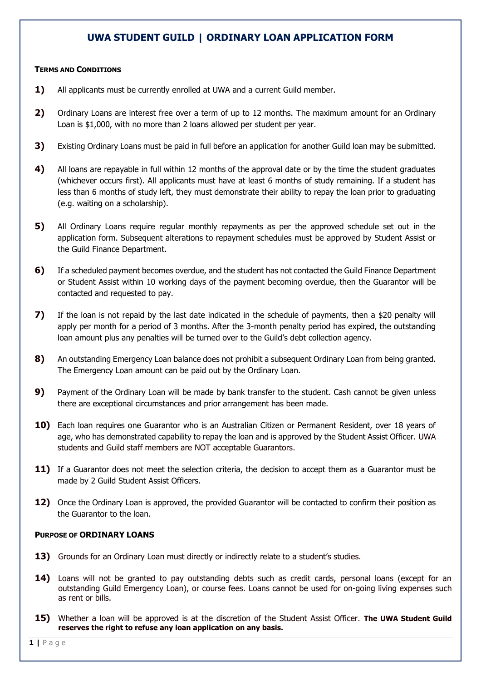# **UWA STUDENT GUILD | ORDINARY LOAN APPLICATION FORM**

#### **TERMS AND CONDITIONS**

- **1)** All applicants must be currently enrolled at UWA and a current Guild member.
- **2)** Ordinary Loans are interest free over a term of up to 12 months. The maximum amount for an Ordinary Loan is \$1,000, with no more than 2 loans allowed per student per year.
- **3)** Existing Ordinary Loans must be paid in full before an application for another Guild loan may be submitted.
- **4)** All loans are repayable in full within 12 months of the approval date or by the time the student graduates (whichever occurs first). All applicants must have at least 6 months of study remaining. If a student has less than 6 months of study left, they must demonstrate their ability to repay the loan prior to graduating (e.g. waiting on a scholarship).
- **5)** All Ordinary Loans require regular monthly repayments as per the approved schedule set out in the application form. Subsequent alterations to repayment schedules must be approved by Student Assist or the Guild Finance Department.
- **6)** If a scheduled payment becomes overdue, and the student has not contacted the Guild Finance Department or Student Assist within 10 working days of the payment becoming overdue, then the Guarantor will be contacted and requested to pay.
- **7)** If the loan is not repaid by the last date indicated in the schedule of payments, then a \$20 penalty will apply per month for a period of 3 months. After the 3-month penalty period has expired, the outstanding loan amount plus any penalties will be turned over to the Guild's debt collection agency.
- **8)** An outstanding Emergency Loan balance does not prohibit a subsequent Ordinary Loan from being granted. The Emergency Loan amount can be paid out by the Ordinary Loan.
- **9)** Payment of the Ordinary Loan will be made by bank transfer to the student. Cash cannot be given unless there are exceptional circumstances and prior arrangement has been made.
- **10)** Each loan requires one Guarantor who is an Australian Citizen or Permanent Resident, over 18 years of age, who has demonstrated capability to repay the loan and is approved by the Student Assist Officer. UWA students and Guild staff members are NOT acceptable Guarantors.
- **11)** If a Guarantor does not meet the selection criteria, the decision to accept them as a Guarantor must be made by 2 Guild Student Assist Officers.
- **12)** Once the Ordinary Loan is approved, the provided Guarantor will be contacted to confirm their position as the Guarantor to the loan.

#### **PURPOSE OF ORDINARY LOANS**

- **13)** Grounds for an Ordinary Loan must directly or indirectly relate to a student's studies.
- **14)** Loans will not be granted to pay outstanding debts such as credit cards, personal loans (except for an outstanding Guild Emergency Loan), or course fees. Loans cannot be used for on-going living expenses such as rent or bills.
- **15)** Whether a loan will be approved is at the discretion of the Student Assist Officer. **The UWA Student Guild reserves the right to refuse any loan application on any basis.**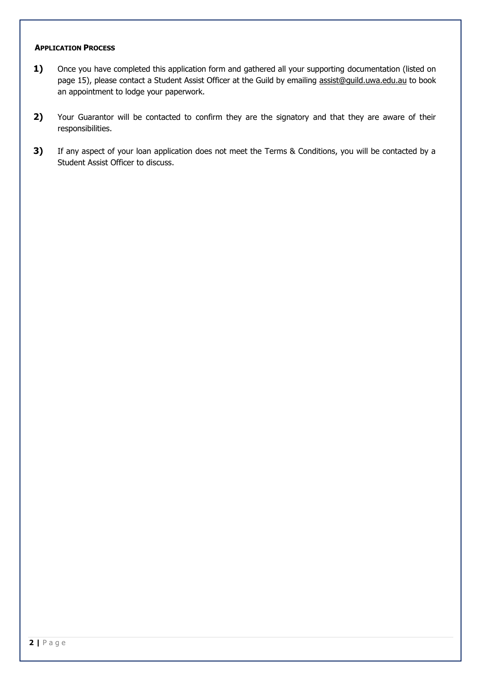#### **APPLICATION PROCESS**

- 1) Once you have completed this application form and gathered all your supporting documentation (listed on page 15), please contact a Student Assist Officer at the Guild by emailing [assist@guild.uwa.edu.au](mailto:assist@guild.uwa.edu.au) to book an appointment to lodge your paperwork.
- **2)** Your Guarantor will be contacted to confirm they are the signatory and that they are aware of their responsibilities.
- **3)** If any aspect of your loan application does not meet the Terms & Conditions, you will be contacted by a Student Assist Officer to discuss.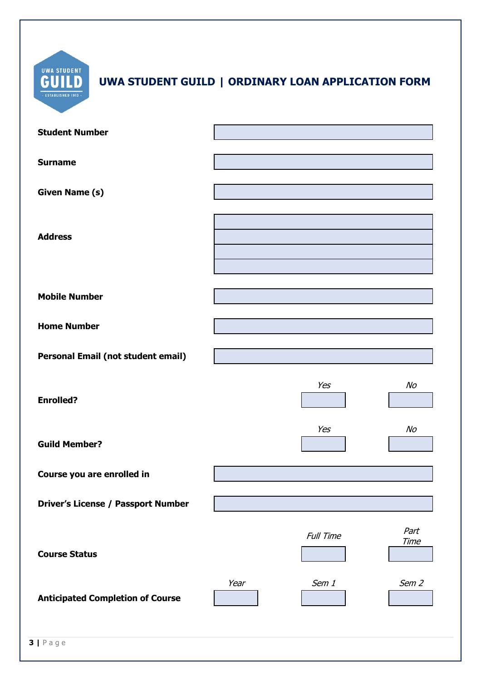| <b>UWA STUDENT</b><br>UWA STUDENT GUILD   ORDINARY LOAN APPLICATION FORM<br><b>ESTABLISHED 1913</b> |      |           |                     |
|-----------------------------------------------------------------------------------------------------|------|-----------|---------------------|
| <b>Student Number</b>                                                                               |      |           |                     |
| <b>Surname</b>                                                                                      |      |           |                     |
| <b>Given Name (s)</b>                                                                               |      |           |                     |
| <b>Address</b>                                                                                      |      |           |                     |
| <b>Mobile Number</b>                                                                                |      |           |                     |
| <b>Home Number</b>                                                                                  |      |           |                     |
| Personal Email (not student email)                                                                  |      |           |                     |
| <b>Enrolled?</b>                                                                                    |      | Yes       | No                  |
| <b>Guild Member?</b>                                                                                |      | Yes       | No                  |
| Course you are enrolled in                                                                          |      |           |                     |
| <b>Driver's License / Passport Number</b>                                                           |      |           |                     |
| <b>Course Status</b>                                                                                |      | Full Time | Part<br><b>Time</b> |
| <b>Anticipated Completion of Course</b>                                                             | Year | Sem 1     | Sem <sub>2</sub>    |
| $3   P \text{age}$                                                                                  |      |           |                     |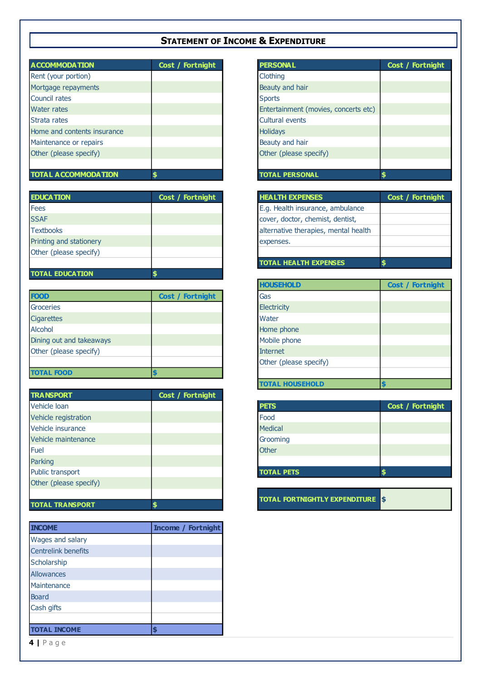# **STATEMENT OF INCOME & EXPENDITURE**

| <b>ACCOMMODATION</b>        | Cost / Fortnight | <b>PERSONAL</b>                      | Cost / Fortnight |
|-----------------------------|------------------|--------------------------------------|------------------|
| Rent (your portion)         |                  | Clothing                             |                  |
| Mortgage repayments         |                  | Beauty and hair                      |                  |
| <b>Council rates</b>        |                  | <b>Sports</b>                        |                  |
| Water rates                 |                  | Entertainment (movies, concerts etc) |                  |
| Strata rates                |                  | <b>Cultural events</b>               |                  |
| Home and contents insurance |                  | <b>Holidays</b>                      |                  |
| Maintenance or repairs      |                  | Beauty and hair                      |                  |
| Other (please specify)      |                  | Other (please specify)               |                  |
|                             |                  |                                      |                  |
| <b>TOTAL ACCOMMODATION</b>  |                  | TOTAL PERSONAL                       |                  |

| <b>EDUCATION</b>        | Cost / Fortnight | <b>HEALTH EXPENSES</b>               |
|-------------------------|------------------|--------------------------------------|
| Fees                    |                  | E.g. Health insurance, ambulance     |
| <b>SSAF</b>             |                  | cover, doctor, chemist, dentist,     |
| <b>Textbooks</b>        |                  | alternative therapies, mental health |
| Printing and stationery |                  | expenses.                            |
| Other (please specify)  |                  |                                      |
|                         |                  | <b>TOTAL HEALTH EXPENSES</b>         |
| <b>TOTAL EDUCATION</b>  |                  |                                      |

| <b>FOOD</b>              | Cost / Fortnight |
|--------------------------|------------------|
| <b>Groceries</b>         |                  |
| <b>Cigarettes</b>        |                  |
| Alcohol                  |                  |
| Dining out and takeaways |                  |
| Other (please specify)   |                  |
|                          |                  |
| <b>TOTAL FOOD</b>        |                  |

| <b>TRANSPORT</b>       | Cost / Fortnight |                                         |
|------------------------|------------------|-----------------------------------------|
| Vehicle Ioan           |                  | <b>PETS</b>                             |
| Vehicle registration   |                  | Food                                    |
| Vehicle insurance      |                  | <b>Medical</b>                          |
| Vehicle maintenance    |                  | Grooming                                |
| Fuel                   |                  | <b>Other</b>                            |
| Parking                |                  |                                         |
| Public transport       |                  | <b>TOTAL PETS</b>                       |
| Other (please specify) |                  |                                         |
|                        |                  |                                         |
| <b>TOTAL TRANSPORT</b> |                  | <b>TOTAL FORTNIGHTLY EXPENDITURE \$</b> |

| <b>INCOME</b>              | <b>Income / Fortnight</b> |
|----------------------------|---------------------------|
| Wages and salary           |                           |
| <b>Centrelink benefits</b> |                           |
| Scholarship                |                           |
| Allowances                 |                           |
| Maintenance                |                           |
| <b>Board</b>               |                           |
| Cash gifts                 |                           |
|                            |                           |
| <b>TOTAL INCOME</b>        |                           |

| <b>PERSONAL</b>                      | Cost / Fortnight |
|--------------------------------------|------------------|
| Clothing                             |                  |
| Beauty and hair                      |                  |
| <b>Sports</b>                        |                  |
| Entertainment (movies, concerts etc) |                  |
| <b>Cultural events</b>               |                  |
| <b>Holidays</b>                      |                  |
| Beauty and hair                      |                  |
| Other (please specify)               |                  |
|                                      |                  |
| <b>TOTAL PERSONAL</b>                | \$               |
|                                      |                  |

| <b>HEALTH EXPENSES</b>               | Cost / Fortnight |
|--------------------------------------|------------------|
| E.g. Health insurance, ambulance     |                  |
| cover, doctor, chemist, dentist,     |                  |
| alternative therapies, mental health |                  |
| expenses.                            |                  |
|                                      |                  |
| <b>TOTAL HEALTH EXPENSES</b>         |                  |

| <b>HOUSEHOLD</b>       | <b>Cost / Fortnight</b> |
|------------------------|-------------------------|
| Gas                    |                         |
| Electricity            |                         |
| Water                  |                         |
| Home phone             |                         |
| Mobile phone           |                         |
| <b>Internet</b>        |                         |
| Other (please specify) |                         |
|                        |                         |
| <b>TOTAL HOUSEHOLD</b> | G                       |

| Cost / Fortnight |
|------------------|
|                  |
|                  |
|                  |
|                  |
|                  |
|                  |
|                  |

**4 |** P a g e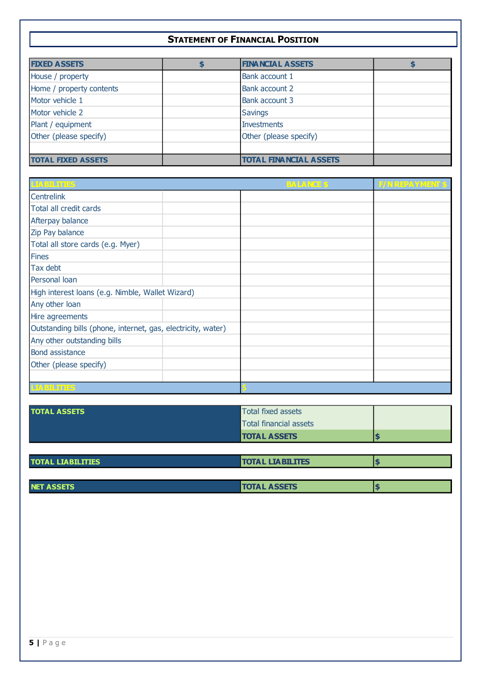## **STATEMENT OF FINANCIAL POSITION**

| <b>FIXED ASSETS</b>       | <b>FINA NCIA L ASSETS</b>     |  |
|---------------------------|-------------------------------|--|
| House / property          | Bank account 1                |  |
| Home / property contents  | Bank account 2                |  |
| Motor vehicle 1           | <b>Bank account 3</b>         |  |
| Motor vehicle 2           | <b>Savings</b>                |  |
| Plant / equipment         | <b>Investments</b>            |  |
| Other (please specify)    | Other (please specify)        |  |
|                           |                               |  |
| <b>TOTAL FIXED ASSETS</b> | <b>TOTAL FINANCIAL ASSETS</b> |  |

| <b>LIABILITIES</b>                                           | <b>BALANCE \$</b> | <b>F/N REPAYMENT \$</b> |
|--------------------------------------------------------------|-------------------|-------------------------|
| <b>Centrelink</b>                                            |                   |                         |
| Total all credit cards                                       |                   |                         |
| Afterpay balance                                             |                   |                         |
| Zip Pay balance                                              |                   |                         |
| Total all store cards (e.g. Myer)                            |                   |                         |
| <b>Fines</b>                                                 |                   |                         |
| Tax debt                                                     |                   |                         |
| Personal loan                                                |                   |                         |
| High interest loans (e.g. Nimble, Wallet Wizard)             |                   |                         |
| Any other loan                                               |                   |                         |
| Hire agreements                                              |                   |                         |
| Outstanding bills (phone, internet, gas, electricity, water) |                   |                         |
| Any other outstanding bills                                  |                   |                         |
| <b>Bond assistance</b>                                       |                   |                         |
| Other (please specify)                                       |                   |                         |
|                                                              |                   |                         |
| <b>LIABILITIES</b>                                           |                   |                         |

| <b>TOTAL ASSETS</b>      | <b>Total fixed assets</b>     |  |
|--------------------------|-------------------------------|--|
|                          | <b>Total financial assets</b> |  |
|                          | <b>TOTAL ASSETS</b>           |  |
|                          |                               |  |
| <b>TOTAL LIABILITIES</b> | <b>TOTAL LIABILITES</b>       |  |

| <b>NET</b> | <b>SETS</b><br>TOT. | . . |
|------------|---------------------|-----|
|            |                     |     |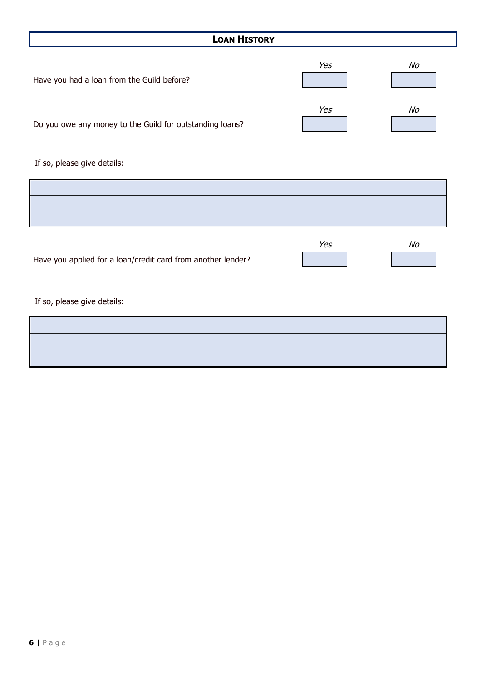| <b>LOAN HISTORY</b>                                          |     |                |
|--------------------------------------------------------------|-----|----------------|
|                                                              |     |                |
| Have you had a loan from the Guild before?                   | Yes | N <sub>O</sub> |
|                                                              |     |                |
|                                                              | Yes | N <sub>O</sub> |
| Do you owe any money to the Guild for outstanding loans?     |     |                |
| If so, please give details:                                  |     |                |
|                                                              |     |                |
|                                                              |     |                |
|                                                              |     |                |
|                                                              | Yes | $N_O$          |
| Have you applied for a loan/credit card from another lender? |     |                |
|                                                              |     |                |
| If so, please give details:                                  |     |                |
|                                                              |     |                |
|                                                              |     |                |
|                                                              |     |                |
|                                                              |     |                |
|                                                              |     |                |
|                                                              |     |                |
|                                                              |     |                |
|                                                              |     |                |
|                                                              |     |                |
|                                                              |     |                |
|                                                              |     |                |
|                                                              |     |                |
|                                                              |     |                |
|                                                              |     |                |
|                                                              |     |                |
|                                                              |     |                |
|                                                              |     |                |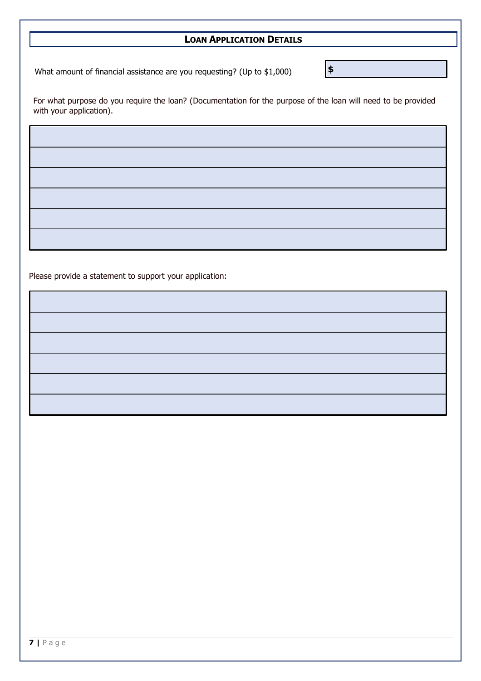# **LOAN APPLICATION DETAILS**

**\$**

What amount of financial assistance are you requesting? (Up to \$1,000)

For what purpose do you require the loan? (Documentation for the purpose of the loan will need to be provided with your application).

Please provide a statement to support your application: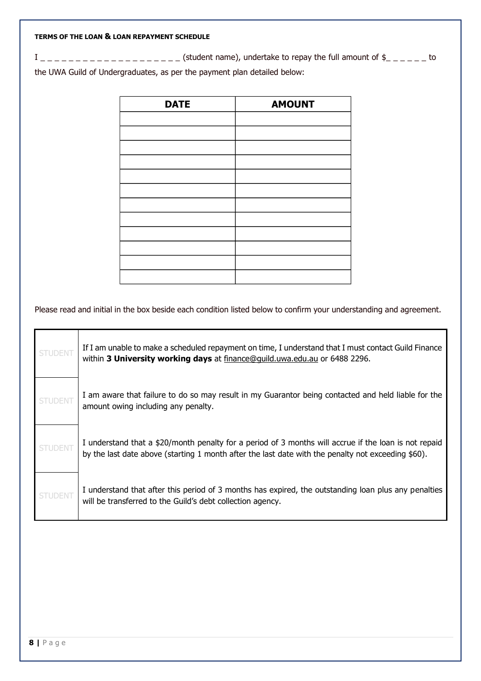#### **TERMS OF THE LOAN & LOAN REPAYMENT SCHEDULE**

I \_ \_ \_ \_ \_ \_ \_ \_ \_ \_ \_ \_ \_ \_ \_ \_ \_ \_ \_ \_ (student name), undertake to repay the full amount of \$\_ \_ \_ \_ \_ \_ to the UWA Guild of Undergraduates, as per the payment plan detailed below:

| <b>DATE</b> | <b>AMOUNT</b> |
|-------------|---------------|
|             |               |
|             |               |
|             |               |
|             |               |
|             |               |
|             |               |
|             |               |
|             |               |
|             |               |
|             |               |
|             |               |
|             |               |

Please read and initial in the box beside each condition listed below to confirm your understanding and agreement.

| <b>STUDENT</b> | If I am unable to make a scheduled repayment on time, I understand that I must contact Guild Finance<br>within 3 University working days at finance@quild.uwa.edu.au or 6488 2296.                          |
|----------------|-------------------------------------------------------------------------------------------------------------------------------------------------------------------------------------------------------------|
| <b>STUDENT</b> | I am aware that failure to do so may result in my Guarantor being contacted and held liable for the<br>amount owing including any penalty.                                                                  |
| <b>STUDENT</b> | I understand that a \$20/month penalty for a period of 3 months will accrue if the loan is not repaid<br>by the last date above (starting 1 month after the last date with the penalty not exceeding \$60). |
| <b>STUDENT</b> | I understand that after this period of 3 months has expired, the outstanding loan plus any penalties<br>will be transferred to the Guild's debt collection agency.                                          |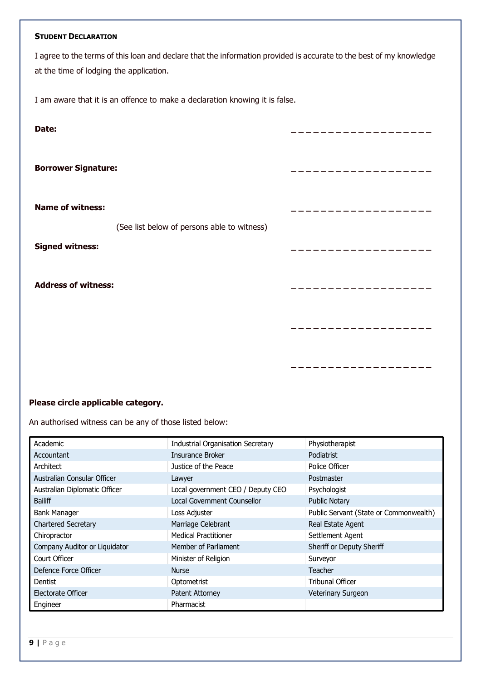#### **STUDENT DECLARATION**

I agree to the terms of this loan and declare that the information provided is accurate to the best of my knowledge at the time of lodging the application.

I am aware that it is an offence to make a declaration knowing it is false.

| Date:                                                                  |  |
|------------------------------------------------------------------------|--|
| <b>Borrower Signature:</b>                                             |  |
| <b>Name of witness:</b><br>(See list below of persons able to witness) |  |
| <b>Signed witness:</b>                                                 |  |
| <b>Address of witness:</b>                                             |  |
|                                                                        |  |
|                                                                        |  |

## **Please circle applicable category.**

An authorised witness can be any of those listed below:

| Academic                      | <b>Industrial Organisation Secretary</b> | Physiotherapist                        |
|-------------------------------|------------------------------------------|----------------------------------------|
| Accountant                    | Insurance Broker                         | Podiatrist                             |
| Architect                     | Justice of the Peace                     | Police Officer                         |
| Australian Consular Officer   | Lawyer                                   | Postmaster                             |
| Australian Diplomatic Officer | Local government CEO / Deputy CEO        | Psychologist                           |
| <b>Bailiff</b>                | Local Government Counsellor              | <b>Public Notary</b>                   |
| <b>Bank Manager</b>           | Loss Adjuster                            | Public Servant (State or Commonwealth) |
| <b>Chartered Secretary</b>    | Marriage Celebrant                       | Real Estate Agent                      |
| Chiropractor                  | <b>Medical Practitioner</b>              | Settlement Agent                       |
| Company Auditor or Liquidator | Member of Parliament                     | Sheriff or Deputy Sheriff              |
| Court Officer                 | Minister of Religion                     | Surveyor                               |
| Defence Force Officer         | <b>Nurse</b>                             | Teacher                                |
| Dentist                       | Optometrist                              | <b>Tribunal Officer</b>                |
| Electorate Officer            | Patent Attorney                          | Veterinary Surgeon                     |
| Engineer                      | Pharmacist                               |                                        |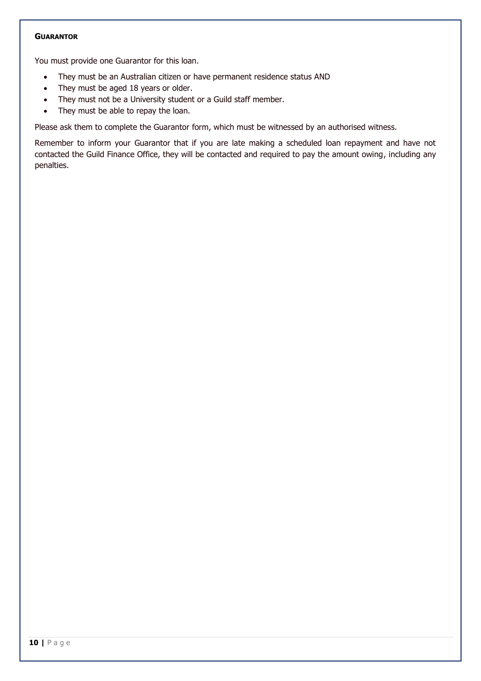#### **GUARANTOR**

You must provide one Guarantor for this loan.

- They must be an Australian citizen or have permanent residence status AND
- They must be aged 18 years or older.
- They must not be a University student or a Guild staff member.
- They must be able to repay the loan.

Please ask them to complete the Guarantor form, which must be witnessed by an authorised witness.

Remember to inform your Guarantor that if you are late making a scheduled loan repayment and have not contacted the Guild Finance Office, they will be contacted and required to pay the amount owing, including any penalties.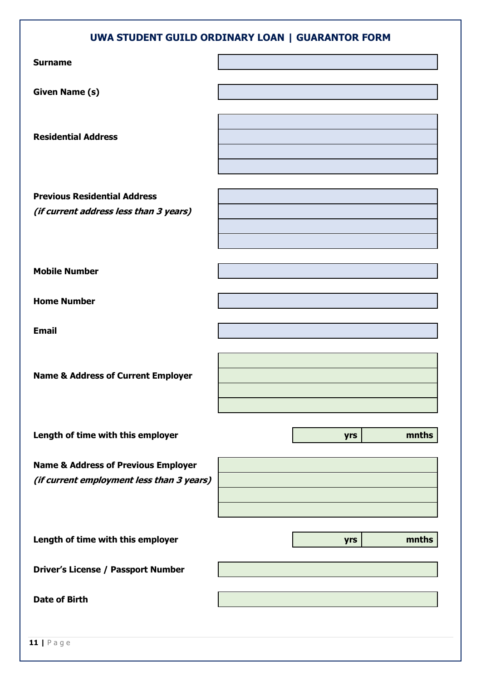| UWA STUDENT GUILD ORDINARY LOAN   GUARANTOR FORM                                            |              |  |
|---------------------------------------------------------------------------------------------|--------------|--|
| <b>Surname</b>                                                                              |              |  |
| <b>Given Name (s)</b>                                                                       |              |  |
| <b>Residential Address</b>                                                                  |              |  |
| <b>Previous Residential Address</b><br>(if current address less than 3 years)               |              |  |
| <b>Mobile Number</b>                                                                        |              |  |
| <b>Home Number</b>                                                                          |              |  |
| <b>Email</b>                                                                                |              |  |
| <b>Name &amp; Address of Current Employer</b>                                               |              |  |
| Length of time with this employer                                                           | mnths<br>yrs |  |
| <b>Name &amp; Address of Previous Employer</b><br>(if current employment less than 3 years) |              |  |
| Length of time with this employer                                                           | mnths<br>yrs |  |
| <b>Driver's License / Passport Number</b>                                                   |              |  |
| <b>Date of Birth</b>                                                                        |              |  |
|                                                                                             |              |  |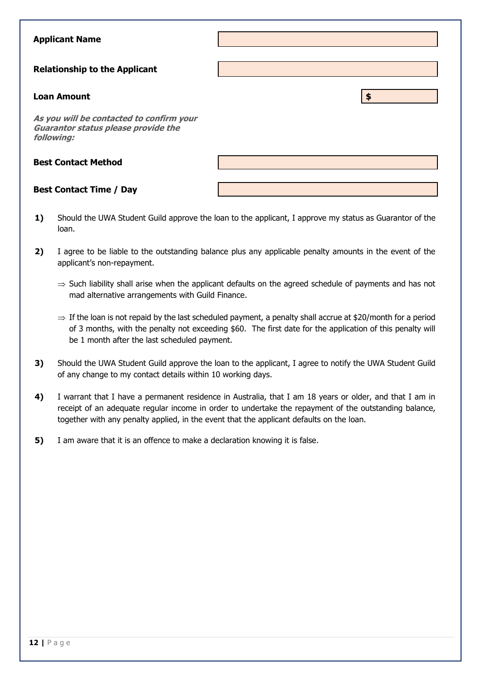| <b>Applicant Name</b>                                                                                |    |
|------------------------------------------------------------------------------------------------------|----|
| <b>Relationship to the Applicant</b>                                                                 |    |
| <b>Loan Amount</b>                                                                                   | \$ |
| As you will be contacted to confirm your<br><b>Guarantor status please provide the</b><br>following: |    |
| <b>Best Contact Method</b>                                                                           |    |
| <b>Best Contact Time / Day</b>                                                                       |    |

- **1)** Should the UWA Student Guild approve the loan to the applicant, I approve my status as Guarantor of the loan.
- **2)** I agree to be liable to the outstanding balance plus any applicable penalty amounts in the event of the applicant's non-repayment.
	- $\Rightarrow$  Such liability shall arise when the applicant defaults on the agreed schedule of payments and has not mad alternative arrangements with Guild Finance.
	- $\Rightarrow$  If the loan is not repaid by the last scheduled payment, a penalty shall accrue at \$20/month for a period of 3 months, with the penalty not exceeding \$60. The first date for the application of this penalty will be 1 month after the last scheduled payment.
- **3)** Should the UWA Student Guild approve the loan to the applicant, I agree to notify the UWA Student Guild of any change to my contact details within 10 working days.
- **4)** I warrant that I have a permanent residence in Australia, that I am 18 years or older, and that I am in receipt of an adequate regular income in order to undertake the repayment of the outstanding balance, together with any penalty applied, in the event that the applicant defaults on the loan.
- **5)** I am aware that it is an offence to make a declaration knowing it is false.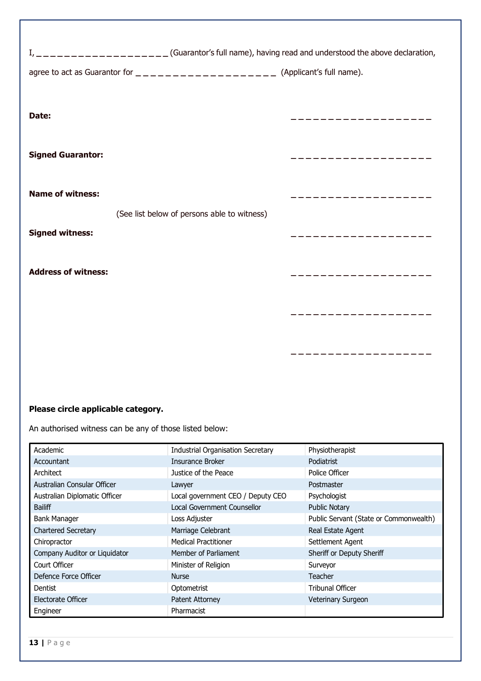| Date:                      |                                             |                   |
|----------------------------|---------------------------------------------|-------------------|
| <b>Signed Guarantor:</b>   |                                             | ----------------- |
| <b>Name of witness:</b>    | (See list below of persons able to witness) |                   |
| <b>Signed witness:</b>     |                                             |                   |
| <b>Address of witness:</b> |                                             | . <u>.</u> .      |
|                            |                                             |                   |
|                            |                                             |                   |

# **Please circle applicable category.**

An authorised witness can be any of those listed below:

| Academic                      | <b>Industrial Organisation Secretary</b> | Physiotherapist                        |
|-------------------------------|------------------------------------------|----------------------------------------|
| Accountant                    | Insurance Broker                         | Podiatrist                             |
| Architect                     | Justice of the Peace                     | Police Officer                         |
| Australian Consular Officer   | Lawyer                                   | Postmaster                             |
| Australian Diplomatic Officer | Local government CEO / Deputy CEO        | Psychologist                           |
| <b>Bailiff</b>                | Local Government Counsellor              | <b>Public Notary</b>                   |
| <b>Bank Manager</b>           | Loss Adjuster                            | Public Servant (State or Commonwealth) |
| <b>Chartered Secretary</b>    | Marriage Celebrant                       | Real Estate Agent                      |
| Chiropractor                  | <b>Medical Practitioner</b>              | Settlement Agent                       |
| Company Auditor or Liquidator | Member of Parliament                     | Sheriff or Deputy Sheriff              |
| Court Officer                 | Minister of Religion                     | Surveyor                               |
| Defence Force Officer         | <b>Nurse</b>                             | Teacher                                |
| Dentist                       | Optometrist                              | <b>Tribunal Officer</b>                |
| Electorate Officer            | Patent Attorney                          | Veterinary Surgeon                     |
| Engineer                      | Pharmacist                               |                                        |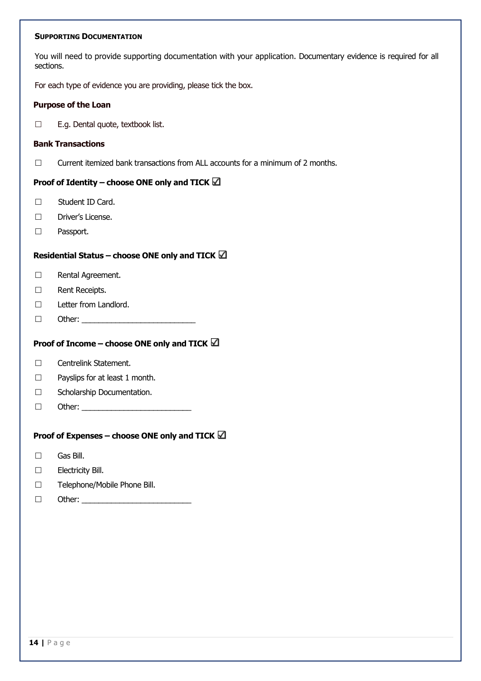#### **SUPPORTING DOCUMENTATION**

You will need to provide supporting documentation with your application. Documentary evidence is required for all sections.

For each type of evidence you are providing, please tick the box.

#### **Purpose of the Loan**

 $\Box$  E.g. Dental quote, textbook list.

#### **Bank Transactions**

 $\Box$  Current itemized bank transactions from ALL accounts for a minimum of 2 months.

## **Proof of Identity – choose ONE only and TICK**

- □ Student ID Card.
- Driver's License.
- □ Passport.

## **Residential Status – choose ONE only and TICK**

- □ Rental Agreement.
- Rent Receipts.
- D Letter from Landlord.
- $\Box$  Other:

## **Proof of Income – choose ONE only and TICK**

- □ Centrelink Statement.
- $\Box$  Payslips for at least 1 month.
- □ Scholarship Documentation.
- Other: \_\_\_\_\_\_\_\_\_\_\_\_\_\_\_\_\_\_\_\_\_\_\_\_\_\_

#### **Proof of Expenses – choose ONE only and TICK**

- Gas Bill.
- Electricity Bill.
- □ Telephone/Mobile Phone Bill.
- $\Box$  Other: